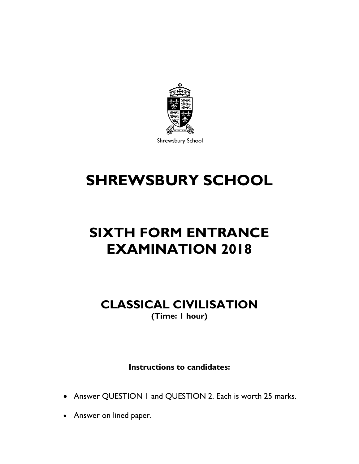

Shrewsbury School

# **SHREWSBURY SCHOOL**

## **SIXTH FORM ENTRANCE EXAMINATION 2018**

### **CLASSICAL CIVILISATION (Time: 1 hour)**

**Instructions to candidates:**

- Answer QUESTION 1 and QUESTION 2. Each is worth 25 marks.
- Answer on lined paper.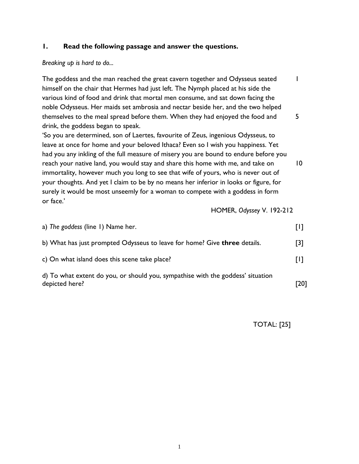#### **1. Read the following passage and answer the questions.**

#### *Breaking up is hard to do...*

The goddess and the man reached the great cavern together and Odysseus seated 1 himself on the chair that Hermes had just left. The Nymph placed at his side the various kind of food and drink that mortal men consume, and sat down facing the noble Odysseus. Her maids set ambrosia and nectar beside her, and the two helped themselves to the meal spread before them. When they had enjoyed the food and 5 drink, the goddess began to speak.

'So you are determined, son of Laertes, favourite of Zeus, ingenious Odysseus, to leave at once for home and your beloved Ithaca? Even so I wish you happiness. Yet had you any inkling of the full measure of misery you are bound to endure before you reach your native land, you would stay and share this home with me, and take on 10 immortality, however much you long to see that wife of yours, who is never out of your thoughts. And yet I claim to be by no means her inferior in looks or figure, for surely it would be most unseemly for a woman to compete with a goddess in form or face.'

HOMER, *Odyssey* V. 192-212

| a) The goddess (line 1) Name her.                                                                 |      |
|---------------------------------------------------------------------------------------------------|------|
| b) What has just prompted Odysseus to leave for home? Give three details.                         | [3]  |
| c) On what island does this scene take place?                                                     | ŢΓ   |
| d) To what extent do you, or should you, sympathise with the goddess' situation<br>depicted here? | [20] |

TOTAL: [25]